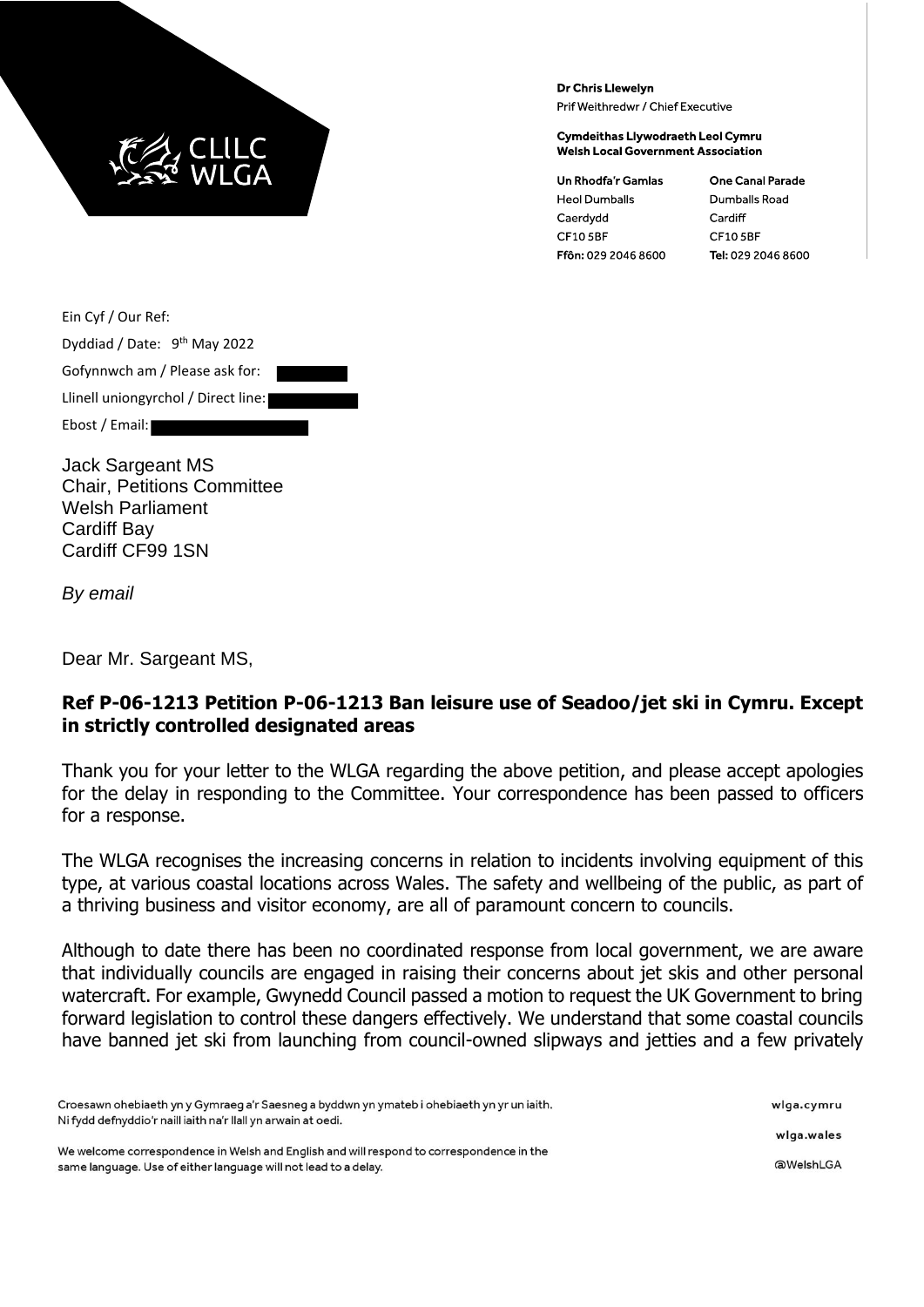

Dr Chris Llewelyn Prif Weithredwr / Chief Executive

**Cymdeithas Llywodraeth Leol Cymru Welsh Local Government Association** 

**Un Rhodfa'r Gamlas Heol Dumballs** Caerdydd CF105BF Ffôn: 029 2046 8600 **One Canal Parade** Dumballs Road Cardiff **CF105BF** Tel: 029 2046 8600

Ein Cyf / Our Ref:

Dyddiad / Date: 9<sup>th</sup> May 2022 Gofynnwch am / Please ask for: Llinell uniongyrchol / Direct line: Ebost / Email:

Jack Sargeant MS Chair, Petitions Committee Welsh Parliament Cardiff Bay Cardiff CF99 1SN

*By email*

Dear Mr. Sargeant MS,

## **Ref P-06-1213 Petition P-06-1213 Ban leisure use of Seadoo/jet ski in Cymru. Except in strictly controlled designated areas**

Thank you for your letter to the WLGA regarding the above petition, and please accept apologies for the delay in responding to the Committee. Your correspondence has been passed to officers for a response.

The WLGA recognises the increasing concerns in relation to incidents involving equipment of this type, at various coastal locations across Wales. The safety and wellbeing of the public, as part of a thriving business and visitor economy, are all of paramount concern to councils.

Although to date there has been no coordinated response from local government, we are aware that individually councils are engaged in raising their concerns about jet skis and other personal watercraft. For example, Gwynedd Council passed a motion to request the UK Government to bring forward legislation to control these dangers effectively. We understand that some coastal councils have banned jet ski from launching from council-owned slipways and jetties and a few privately